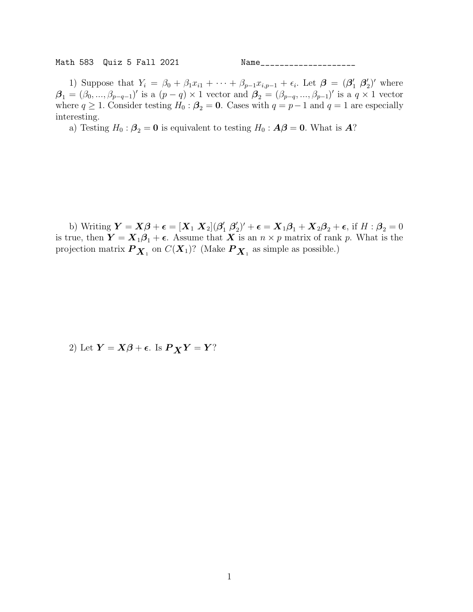Math 583 Quiz 5 Fall 2021 Name\_\_\_\_\_\_\_\_\_\_\_\_\_\_\_\_\_\_\_\_

1) Suppose that  $Y_i = \beta_0 + \beta_1 x_{i1} + \cdots + \beta_{p-1} x_{i,p-1} + \epsilon_i$ . Let  $\boldsymbol{\beta} = (\boldsymbol{\beta}'_1 \boldsymbol{\beta}'_2$  $'_{2}$ )' where  $\boldsymbol{\beta}_1 = (\beta_0, ..., \beta_{p-q-1})'$  is a  $(p-q) \times 1$  vector and  $\boldsymbol{\beta}_2 = (\beta_{p-q}, ..., \beta_{p-1})'$  is a  $q \times 1$  vector where  $q \ge 1$ . Consider testing  $H_0: \beta_2 = 0$ . Cases with  $q = p-1$  and  $q = 1$  are especially interesting.

a) Testing  $H_0: \beta_2 = 0$  is equivalent to testing  $H_0: A\beta = 0$ . What is  $A$ ?

b) Writing  $\boldsymbol{Y} = \boldsymbol{X}\boldsymbol{\beta} + \boldsymbol{\epsilon} = [\boldsymbol{X}_1 \ \boldsymbol{X}_2](\boldsymbol{\beta}_1' \ \boldsymbol{\beta}_2'$  $\mathbf{Z}_2'$ )' +  $\boldsymbol{\epsilon} = \mathbf{X}_1 \boldsymbol{\beta}_1 + \mathbf{X}_2 \boldsymbol{\beta}_2 + \boldsymbol{\epsilon}$ , if  $H : \boldsymbol{\beta}_2 = 0$ is true, then  $Y = X_1 \beta_1 + \epsilon$ . Assume that X is an  $n \times p$  matrix of rank p. What is the projection matrix  $\bm P_{\bm X_1}$  on  $C(\bm X_1)$ ? (Make  $\bm P_{\bm X_1}$  as simple as possible.)

2) Let  $Y = X\beta + \epsilon$ . Is  $P_X Y = Y$ ?